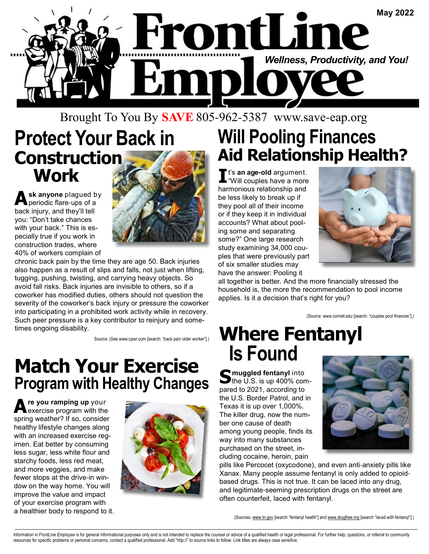

#### Brought To You By **SAVE** 805-962-5387 www.save-eap.org

## **Protect Your Back in Construction Work**

Ask anyone plagued by<br>
periodic flare-ups of a back injury, and they'll tell you: "Don't take chances with your back." This is especially true if you work in construction trades, where 40% of workers complain of



chronic back pain by the time they are age 50. Back injuries also happen as a result of slips and falls, not just when lifting, tugging, pushing, twisting, and carrying heavy objects. So avoid fall risks. Back injuries are invisible to others, so if a coworker has modified duties, others should not question the severity of the coworker's back injury or pressure the coworker into participating in a prohibited work activity while in recovery. Such peer pressure is a key contributor to reinjury and sometimes ongoing disability.

Source: (See www.cpwr.com [search: "back pain older worker"].)

#### **Match Your Exercise Program with Healthy Changes**

**A re you ramping up** your exercise program with the spring weather? If so, consider healthy lifestyle changes along with an increased exercise regimen. Eat better by consuming less sugar, less white flour and starchy foods, less red meat, and more veggies, and make fewer stops at the drive-in window on the way home. You will improve the value and impact of your exercise program with a healthier body to respond to it.



## **Will Pooling Finances Aid Relationship Health?**

**I** t's **an age-old** argument. "Will couples have a more harmonious relationship and be less likely to break up if they pool all of their income or if they keep it in individual accounts? What about pooling some and separating some?" One large research study examining 34,000 couples that were previously part of six smaller studies may have the answer: Pooling it



all together is better. And the more financially stressed the household is, the more the recommendation to pool income applies. Is it a decision that's right for you?

(Source: www.cornell.edu [search: "couples pool finances"].)

## **Where Fentanyl Is Found**

**S** muggled fentanyl into<br>
the U.S. is up 400% compared to 2021, according to the U.S. Border Patrol, and in Texas it is up over 1,000%. The killer drug, now the number one cause of death among young people, finds its way into many substances purchased on the street, including cocaine, heroin, pain



pills like Percocet (oxycodone), and even anti-anxiety pills like Xanax. Many people assume fentanyl is only added to opioidbased drugs. This is not true. It can be laced into any drug, and legitimate-seeming prescription drugs on the street are often counterfeit, laced with fentanyl.

(Sources: www.tn.gov [search "fentanyl health"] and www.drugfree.org [search "laced with fentanyl"].)

Information in FrontLine Employee is for general informational purposes only and is not intended to replace the counsel or advice of a qualified health or legal professional. For further help, questions, or referral to com resources for specific problems or personal concerns, contact a qualified professional. Add "http://" to source links to follow. Link titles are always case sensitive.